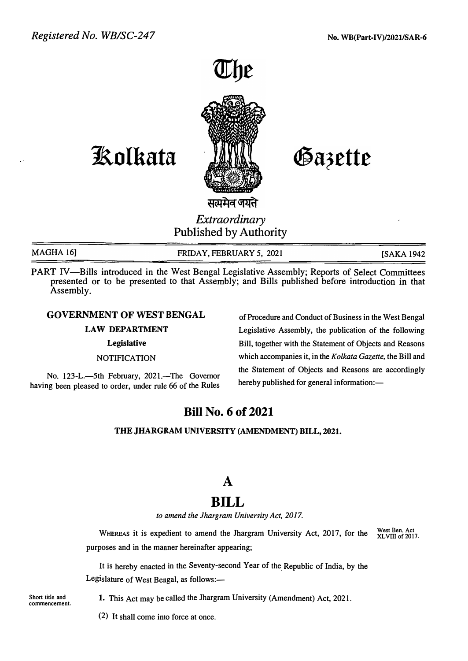

# kolkata

Gazette

सत्यमेव *Extraordinary* 

Published by Authority

MAGHA 16]

FRIDAY, FEBRUARY *5,* 2021 [SAKA 1942

PART IV-Bills introduced in the West Bengal Legislative Assembly; Reports of Select Committees **presented or to be presented to that Assembly; and Bills published before introduction in that Assembly.** 

### **GOVERNMENT OF WEST BENGAL**

**LAW DEPARTMENT** 

**Legislative** 

**NOTIFICATION** 

No. 123-L.-5th February, 2021.-The Governor having been pleased to order, under rule 66 of the Rules of Procedure and Conduct of Business in the West Bengal Legislative Assembly, the publication of the following Bill, together with the Statement of Objects and Reasons which accompanies it, in the *Kolkata Gazette,* the Bill and the Statement of Objects and Reasons are accordingly hereby published for general information:-

### **Bill No. 6 of 2021**

**THE JHARGRAM UNIVERSITY (AMENDMENT) BILL, 2021.** 

## **A**

## **BILL**

*to amend the Jhargram University Act, 2017.* 

WHEREAS it is expedient to amend the Jhargram University Act, 2017, for the purposes and in the manner hereinafter appearing;

**West Ben. Act XLVIII of 2017.** 

It is hereby enacted in the Seventy-second Year of the\_ Republic of India, by the Legislature of West Bengal, as follows:-

**Short** title and **commencement.**  1. This Act may be called the Jhargram University (Amendment) Act, 2021.

(2) It shall come into force at once.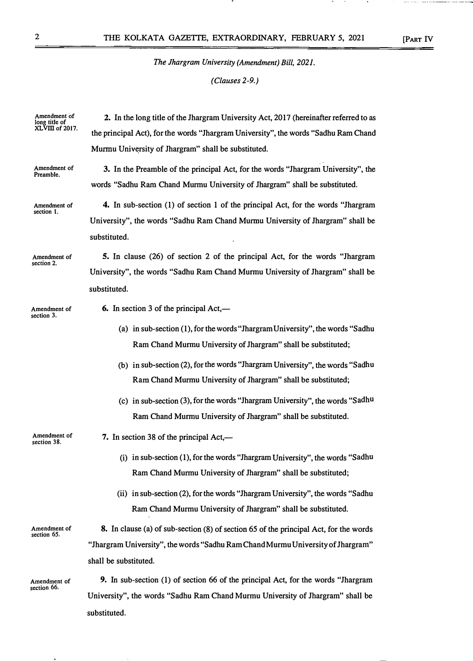$\mathcal{L}_{\mathcal{A}}$ 

*The Jhargram University (Amendment) Bill, 2021.* 

*(Clauses 2-9.)* 

| Amendment of<br>long title of<br>XLVIII of 2017. | 2. In the long title of the Jhargram University Act, 2017 (hereinafter referred to as |
|--------------------------------------------------|---------------------------------------------------------------------------------------|
|                                                  | the principal Act), for the words "Jhargram University", the words "Sadhu Ram Chand   |
|                                                  | Murmu University of Jhargram" shall be substituted.                                   |
| Amendment of<br>Preamble.                        | 3. In the Preamble of the principal Act, for the words "Jhargram University", the     |
|                                                  | words "Sadhu Ram Chand Murmu University of Jhargram" shall be substituted.            |
| Amendment of<br>section 1.                       | 4. In sub-section (1) of section 1 of the principal Act, for the words "Jhargram      |
|                                                  | University", the words "Sadhu Ram Chand Murmu University of Jhargram" shall be        |
|                                                  | substituted.                                                                          |
| Amendment of<br>section 2.                       | 5. In clause (26) of section 2 of the principal Act, for the words "Jhargram          |
|                                                  | University", the words "Sadhu Ram Chand Murmu University of Jhargram" shall be        |
|                                                  | substituted.                                                                          |
| Amendment of<br>section 3.                       | 6. In section 3 of the principal Act,—                                                |
|                                                  | (a) in sub-section (1), for the words "Jhargram University", the words "Sadhu         |
|                                                  | Ram Chand Murmu University of Jhargram" shall be substituted;                         |
|                                                  | (b) in sub-section (2), for the words "Jhargram University", the words "Sadhu         |
|                                                  | Ram Chand Murmu University of Jhargram" shall be substituted;                         |
|                                                  | (c) in sub-section (3), for the words "Jhargram University", the words "Sadhu         |
|                                                  | Ram Chand Murmu University of Jhargram" shall be substituted.                         |
| Amendment of<br>section 38.                      | 7. In section 38 of the principal Act,—                                               |
|                                                  | (i) in sub-section (1), for the words "Jhargram University", the words "Sadhu         |
|                                                  | Ram Chand Murmu University of Jhargram" shall be substituted;                         |
|                                                  | (ii) in sub-section (2), for the words "Jhargram University", the words "Sadhu        |
|                                                  | Ram Chand Murmu University of Jhargram" shall be substituted.                         |
| Amendment of<br>section 65.                      | 8. In clause (a) of sub-section (8) of section 65 of the principal Act, for the words |
|                                                  | "Jhargram University", the words "Sadhu Ram Chand Murmu University of Jhargram"       |
|                                                  | shall be substituted.                                                                 |
| Amendment of<br>section 66.                      | 9. In sub-section (1) of section 66 of the principal Act, for the words "Jhargram"    |

**University", the words "Sadhu Ram Chand Murmu University of Jhargram" shall be substituted.** 

 $\sim 10^{-1}$ **Contract**